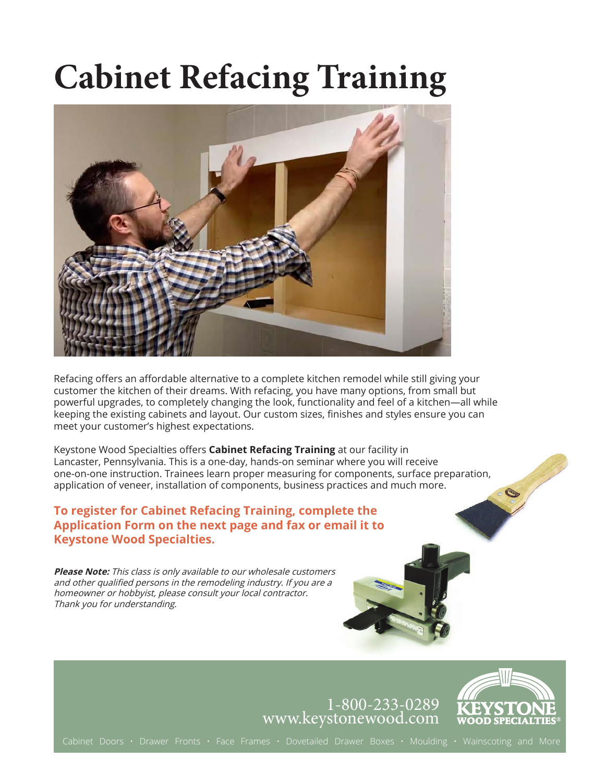# **Cabinet Refacing Training**



Refacing offers an affordable alternative to a complete kitchen remodel while still giving your customer the kitchen of their dreams. With refacing, you have many options, from small but powerful upgrades, to completely changing the look, functionality and feel of a kitchen—all while keeping the existing cabinets and layout. Our custom sizes, finishes and styles ensure you can meet your customer's highest expectations.

Keystone Wood Specialties offers **Cabinet Refacing Training** at our facility in Lancaster, Pennsylvania. This is a one-day, hands-on seminar where you will receive one-on-one instruction. Trainees learn proper measuring for components, surface preparation, application of veneer, installation of components, business practices and much more.

### **To register for Cabinet Refacing Training, complete the Application Form on the next page and fax or email it to Keystone Wood Specialties.**

**Please Note:** This class is only available to our wholesale customers and other qualified persons in the remodeling industry. If you are a homeowner or hobbyist, please consult your local contractor. Thank you for understanding.

### 1-800-233-0289 www.keystonewood.com